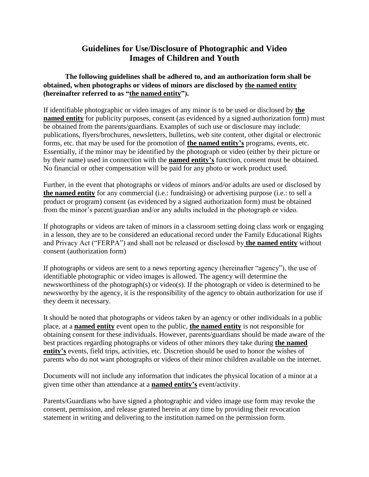## **Guidelines for Use/Disclosure of Photographic and Video Images of Children and Youth**

**The following guidelines shall be adhered to, and an authorization form shall be obtained, when photographs or videos of minors are disclosed by the named entity (hereinafter referred to as "the named entity").**

If identifiable photographic or video images of any minor is to be used or disclosed by **the named entity** for publicity purposes, consent (as evidenced by a signed authorization form) must be obtained from the parents/guardians. Examples of such use or disclosure may include: publications, flyers/brochures, newsletters, bulletins, web site content, other digital or electronic forms, etc. that may be used for the promotion of **the named entity's** programs, events, etc. Essentially, if the minor may be identified by the photograph or video (either by their picture or by their name) used in connection with the **named entity's** function, consent must be obtained. No financial or other compensation will be paid for any photo or work product used.

Further, in the event that photographs or videos of minors and/or adults are used or disclosed by **the named entity** for any commercial (i.e.: fundraising) or advertising purpose (i.e.: to sell a product or program) consent (as evidenced by a signed authorization form) must be obtained from the minor's parent/guardian and/or any adults included in the photograph or video.

If photographs or videos are taken of minors in a classroom setting doing class work or engaging in a lesson, they are to be considered an educational record under the Family Educational Rights and Privacy Act ("FERPA") and shall not be released or disclosed by **the named entity** without consent (authorization form)

If photographs or videos are sent to a news reporting agency (hereinafter "agency"), the use of identifiable photographic or video images is allowed. The agency will determine the newsworthiness of the photograph(s) or video(s). If the photograph or video is determined to be newsworthy by the agency, it is the responsibility of the agency to obtain authorization for use if they deem it necessary.

It should be noted that photographs or videos taken by an agency or other individuals in a public place, at a **named entity** event open to the public, **the named entity** is not responsible for obtaining consent for these individuals. However, parents/guardians should be made aware of the best practices regarding photographs or videos of other minors they take during **the named entity's** events, field trips, activities, etc. Discretion should be used to honor the wishes of parents who do not want photographs or videos of their minor children available on the internet.

Documents will not include any information that indicates the physical location of a minor at a given time other than attendance at a **named entity's** event/activity.

Parents/Guardians who have signed a photographic and video image use form may revoke the consent, permission, and release granted herein at any time by providing their revocation statement in writing and delivering to the institution named on the permission form.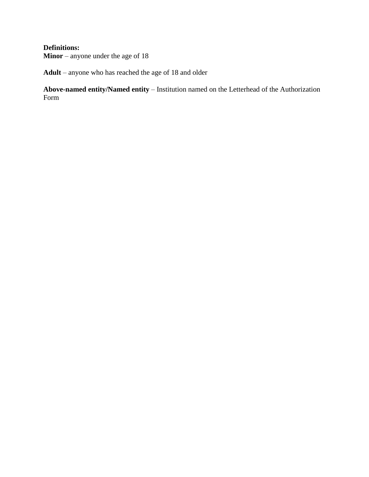### **Definitions:**

**Minor** – anyone under the age of 18

**Adult** – anyone who has reached the age of 18 and older

**Above-named entity/Named entity** – Institution named on the Letterhead of the Authorization Form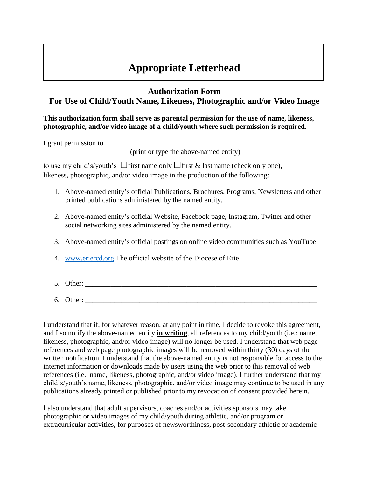# **Appropriate Letterhead**

### **Authorization Form For Use of Child/Youth Name, Likeness, Photographic and/or Video Image**

**This authorization form shall serve as parental permission for the use of name, likeness, photographic, and/or video image of a child/youth where such permission is required.**

I grant permission to \_\_\_\_\_\_\_\_\_\_\_\_\_\_\_\_\_\_\_\_\_\_\_\_\_\_\_\_\_\_\_\_\_\_\_\_\_\_\_\_\_\_\_\_\_\_\_\_\_\_\_\_\_\_\_\_\_\_

(print or type the above-named entity)

to use my child's/youth's  $\Box$  first name only  $\Box$  first & last name (check only one), likeness, photographic, and/or video image in the production of the following:

- 1. Above-named entity's official Publications, Brochures, Programs, Newsletters and other printed publications administered by the named entity.
- 2. Above-named entity's official Website, Facebook page, Instagram, Twitter and other social networking sites administered by the named entity.
- 3. Above-named entity's official postings on online video communities such as YouTube
- 4. [www.eriercd.org](http://www.eriercd.org/) The official website of the Diocese of Erie
- 5. Other:  $\blacksquare$
- $6.$  Other:

I understand that if, for whatever reason, at any point in time, I decide to revoke this agreement, and I so notify the above-named entity **in writing**, all references to my child/youth (i.e.: name, likeness, photographic, and/or video image) will no longer be used. I understand that web page references and web page photographic images will be removed within thirty (30) days of the written notification. I understand that the above-named entity is not responsible for access to the internet information or downloads made by users using the web prior to this removal of web references (i.e.: name, likeness, photographic, and/or video image). I further understand that my child's/youth's name, likeness, photographic, and/or video image may continue to be used in any publications already printed or published prior to my revocation of consent provided herein.

I also understand that adult supervisors, coaches and/or activities sponsors may take photographic or video images of my child/youth during athletic, and/or program or extracurricular activities, for purposes of newsworthiness, post-secondary athletic or academic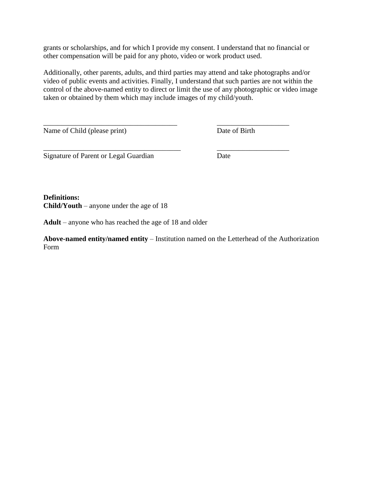grants or scholarships, and for which I provide my consent. I understand that no financial or other compensation will be paid for any photo, video or work product used.

Additionally, other parents, adults, and third parties may attend and take photographs and/or video of public events and activities. Finally, I understand that such parties are not within the control of the above-named entity to direct or limit the use of any photographic or video image taken or obtained by them which may include images of my child/youth.

\_\_\_\_\_\_\_\_\_\_\_\_\_\_\_\_\_\_\_\_\_\_\_\_\_\_\_\_\_\_\_\_\_\_\_\_\_ \_\_\_\_\_\_\_\_\_\_\_\_\_\_\_\_\_\_\_\_

\_\_\_\_\_\_\_\_\_\_\_\_\_\_\_\_\_\_\_\_\_\_\_\_\_\_\_\_\_\_\_\_\_\_\_\_\_\_ \_\_\_\_\_\_\_\_\_\_\_\_\_\_\_\_\_\_\_\_

Name of Child (please print) Date of Birth

Signature of Parent or Legal Guardian Date

## **Definitions:**

**Child/Youth** – anyone under the age of 18

**Adult** – anyone who has reached the age of 18 and older

**Above-named entity/named entity** – Institution named on the Letterhead of the Authorization Form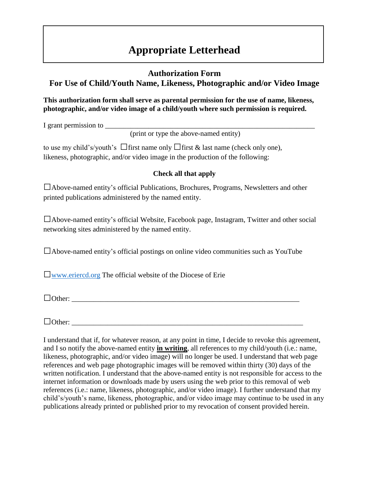# **Appropriate Letterhead**

### **Authorization Form For Use of Child/Youth Name, Likeness, Photographic and/or Video Image**

### **This authorization form shall serve as parental permission for the use of name, likeness, photographic, and/or video image of a child/youth where such permission is required.**

I grant permission to

(print or type the above-named entity)

to use my child's/youth's  $\Box$  first name only  $\Box$  first & last name (check only one), likeness, photographic, and/or video image in the production of the following:

#### **Check all that apply**

□Above-named entity's official Publications, Brochures, Programs, Newsletters and other printed publications administered by the named entity.

 $\Box$ Above-named entity's official Website, Facebook page, Instagram, Twitter and other social networking sites administered by the named entity.

 $\Box$ Above-named entity's official postings on online video communities such as YouTube

 $\Box$ [www.eriercd.org](http://www.eriercd.org/) The official website of the Diocese of Erie

 $\Box$  Other:

 $\Box$  Other:

I understand that if, for whatever reason, at any point in time, I decide to revoke this agreement, and I so notify the above-named entity **in writing**, all references to my child/youth (i.e.: name, likeness, photographic, and/or video image) will no longer be used. I understand that web page references and web page photographic images will be removed within thirty (30) days of the written notification. I understand that the above-named entity is not responsible for access to the internet information or downloads made by users using the web prior to this removal of web references (i.e.: name, likeness, photographic, and/or video image). I further understand that my child's/youth's name, likeness, photographic, and/or video image may continue to be used in any publications already printed or published prior to my revocation of consent provided herein.